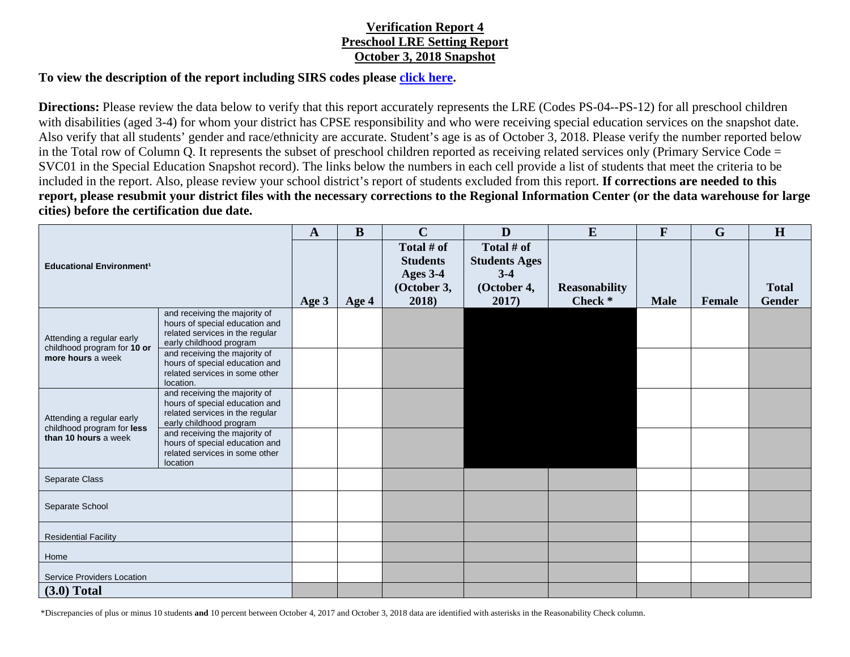## **Verification Report 4 Preschool LRE Setting Report October 3, 2018 Snapshot**

## **To view the description of the report including SIRS codes please click here.**

**Directions:** Please review the data below to verify that this report accurately represents the LRE (Codes PS-04--PS-12) for all preschool children with disabilities (aged 3-4) for whom your district has CPSE responsibility and who were receiving special education services on the snapshot date. Also verify that all students' gender and race/ethnicity are accurate. Student's age is as of October 3, 2018. Please verify the number reported below in the Total row of Column Q. It represents the subset of preschool children reported as receiving related services only (Primary Service Code = SVC01 in the Special Education Snapshot record). The links below the numbers in each cell provide a list of students that meet the criteria to be included in the report. Also, please review your school district's report of students excluded from this report. **If corrections are needed to this report, please resubmit your district files with the necessary corrections to the Regional Information Center (or the data warehouse for large cities) before the certification due date.** 

|                                                                                 |                                                                                                                               | $\mathbf{A}$ | B       | $\mathbf C$                                                       | D                                                                     | E                                          | F           | $\mathbf G$   | H                             |
|---------------------------------------------------------------------------------|-------------------------------------------------------------------------------------------------------------------------------|--------------|---------|-------------------------------------------------------------------|-----------------------------------------------------------------------|--------------------------------------------|-------------|---------------|-------------------------------|
| <b>Educational Environment<sup>1</sup></b>                                      |                                                                                                                               | Age 3        | Age $4$ | Total # of<br><b>Students</b><br>Ages 3-4<br>(October 3,<br>2018) | Total # of<br><b>Students Ages</b><br>$3 - 4$<br>(October 4,<br>2017) | <b>Reasonability</b><br>Check <sup>*</sup> | <b>Male</b> | <b>Female</b> | <b>Total</b><br><b>Gender</b> |
| Attending a regular early<br>childhood program for 10 or<br>more hours a week   | and receiving the majority of<br>hours of special education and<br>related services in the regular<br>early childhood program |              |         |                                                                   |                                                                       |                                            |             |               |                               |
|                                                                                 | and receiving the majority of<br>hours of special education and<br>related services in some other<br>location.                |              |         |                                                                   |                                                                       |                                            |             |               |                               |
| Attending a regular early<br>childhood program for less<br>than 10 hours a week | and receiving the majority of<br>hours of special education and<br>related services in the regular<br>early childhood program |              |         |                                                                   |                                                                       |                                            |             |               |                               |
|                                                                                 | and receiving the majority of<br>hours of special education and<br>related services in some other<br>location                 |              |         |                                                                   |                                                                       |                                            |             |               |                               |
| <b>Separate Class</b>                                                           |                                                                                                                               |              |         |                                                                   |                                                                       |                                            |             |               |                               |
| Separate School                                                                 |                                                                                                                               |              |         |                                                                   |                                                                       |                                            |             |               |                               |
| <b>Residential Facility</b>                                                     |                                                                                                                               |              |         |                                                                   |                                                                       |                                            |             |               |                               |
| Home                                                                            |                                                                                                                               |              |         |                                                                   |                                                                       |                                            |             |               |                               |
| Service Providers Location                                                      |                                                                                                                               |              |         |                                                                   |                                                                       |                                            |             |               |                               |
| $(3.0)$ Total                                                                   |                                                                                                                               |              |         |                                                                   |                                                                       |                                            |             |               |                               |

\*Discrepancies of plus or minus 10 students **and** 10 percent between October 4, 2017 and October 3, 2018 data are identified with asterisks in the Reasonability Check column.